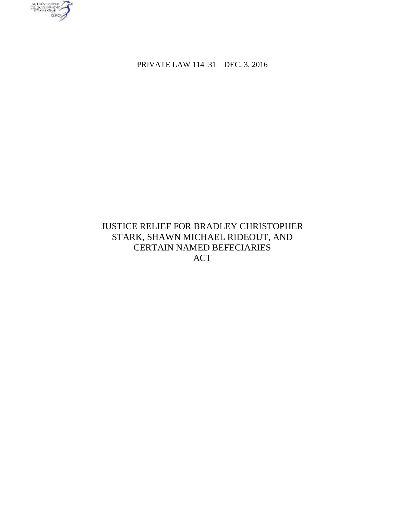

PRIVATE LAW 114–31—DEC. 3, 2016

# JUSTICE RELIEF FOR BRADLEY CHRISTOPHER STARK, SHAWN MICHAEL RIDEOUT, AND CERTAIN NAMED BEFECIARIES ACT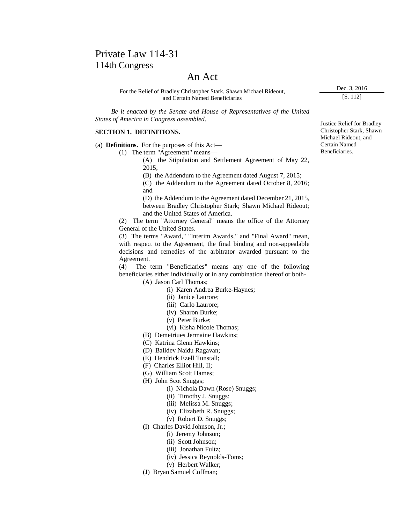# Private Law 114-31 114th Congress

## An Act

For the Relief of Bradley Christopher Stark, Shawn Michael Rideout, and Certain Named Beneficiaries

 *Be it enacted by the Senate and House of Representatives of the United States of America in Congress assembled*.

### **SECTION 1. DEFINITIONS.**

(a) **Definitions.** For the purposes of this Act—

(1) The term "Agreement" means—

(A) the Stipulation and Settlement Agreement of May 22, 2015;

(B) the Addendum to the Agreement dated August 7, 2015;

(C) the Addendum to the Agreement dated October 8, 2016; and

(D) the Addendum to the Agreement dated December 21, 2015, between Bradley Christopher Stark; Shawn Michael Rideout; and the United States of America.

(2) The term "Attorney General" means the office of the Attorney General of the United States.

(3) The terms "Award," "Interim Awards," and "Final Award" mean, with respect to the Agreement, the final binding and non-appealable decisions and remedies of the arbitrator awarded pursuant to the Agreement.

(4) The term "Beneficiaries" means any one of the following beneficiaries either individually or in any combination thereof or both-

(A) Jason Carl Thomas;

- (i) Karen Andrea Burke-Haynes;
- (ii) Janice Laurore;
- (iii) Carlo Laurore;
- (iv) Sharon Burke;
- (v) Peter Burke;
- (vi) Kisha Nicole Thomas;

(B) Demetriues Jermaine Hawkins;

- (C) Katrina Glenn Hawkins;
- (D) Balldev Naidu Ragavan;
- (E) Hendrick Ezell Tunstall;
- (F) Charles Elliot Hill, II;
- (G) William Scott Hames;
- (H) John Scot Snuggs;
	- (i) Nichola Dawn (Rose) Snuggs;
	- (ii) Timothy J. Snuggs;
	- (iii) Melissa M. Snuggs;
	- (iv) Elizabeth R. Snuggs;
	- (v) Robert D. Snuggs;
- (I) Charles David Johnson, Jr.;
	- (i) Jeremy Johnson;
		- (ii) Scott Johnson;
		- (iii) Jonathan Fultz;
			- (iv) Jessica Reynolds-Toms;
		- (v) Herbert Walker;
- (J) Bryan Samuel Coffman;

Justice Relief for Bradley Christopher Stark, Shawn Michael Rideout, and Certain Named Beneficiaries.

Dec. 3, 2016 [S. 112]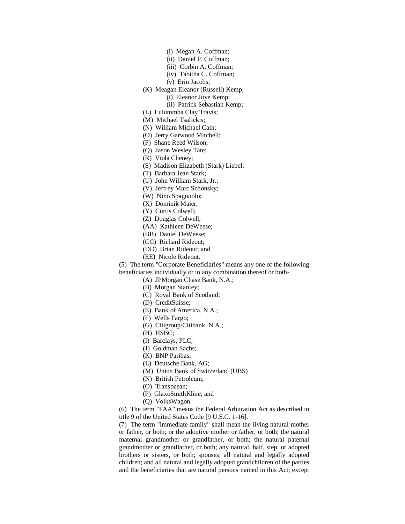- (i) Megan A. Coffman;
- (ii) Daniel P. Coffman;
- (iii) Corbin A. Coffman;
- (iv) Tabitha C. Coffman;
- (v) Erin Jacobs;
- (K) Meagan Eleanor (Russell) Kemp;
	- (i) Eleanor Joye Kemp;
	- (ii) Patrick Sebastian Kemp;
- (L) Lulummba Clay Travis;
- (M) Michael Tsalickis;
- (N) William Michael Cain;
- (O) Jerry Garwood Mitchell;
- (P) Shane Reed Wilson;
- (Q) Jason Wesley Tate;
- (R) Viola Cheney;
- (S) Madison Elizabeth (Stark) Liebel;
- (T) Barbara Jean Stark;
- (U) John William Stark, Jr.;
- (V) Jeffrey Marc Schonsky;
- (W) Nino Spagnuolo;
- (X) Dominik Maier;
- (Y) Curtis Colwell;
- (Z) Douglas Colwell;
- (AA) Kathleen DeWeese;
- (BB) Daniel DeWeese;
- (CC) Richard Rideout;
- (DD) Brian Rideout; and
- (EE) Nicole Rideout.

(5) The term "Corporate Beneficiaries" means any one of the following

beneficiaries individually or in any combination thereof or both-

(A) JPMorgan Chase Bank, N.A.;

- (B) Morgan Stanley;
- (C) Royal Bank of Scotland;
- (D) CreditSuisse;
- (E) Bank of America, N.A.;
- (F) Wells Fargo;
- (G) Citigroup/Citibank, N.A.;
- (H) HSBC;
- (I) Barclays, PLC;
- (J) Goldman Sachs;
- (K) BNP Paribas;
- (L) Deutsche Bank, AG;
- (M) Union Bank of Switzerland (UBS)
- (N) British Petroleum;
- (O) Transocean;
- (P) GlaxoSmithKline; and
- (Q) VolksWagon.

(6) The term "FAA" means the Federal Arbitration Act as described in title 9 of the United States Code [9 U.S.C. 1-16].

(7) The term "immediate family" shall mean the living natural mother or father, or both; or the adoptive mother or father, or both; the natural maternal grandmother or grandfather, or both; the natural paternal grandmother or grandfather, or both; any natural, half, step, or adopted brothers or sisters, or both; spouses; all natural and legally adopted children; and all natural and legally adopted grandchildren of the parties and the beneficiaries that are natural persons named in this Act; except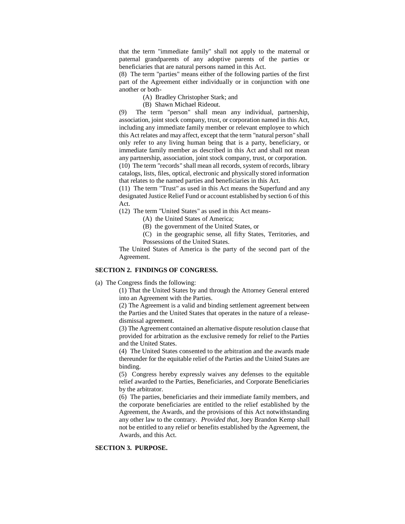that the term "immediate family" shall not apply to the maternal or paternal grandparents of any adoptive parents of the parties or beneficiaries that are natural persons named in this Act.

(8) The term "parties" means either of the following parties of the first part of the Agreement either individually or in conjunction with one another or both-

(A) Bradley Christopher Stark; and

(B) Shawn Michael Rideout.

(9) The term "person" shall mean any individual, partnership, association, joint stock company, trust, or corporation named in this Act, including any immediate family member or relevant employee to which this Act relates and may affect, except that the term "natural person" shall only refer to any living human being that is a party, beneficiary, or immediate family member as described in this Act and shall not mean any partnership, association, joint stock company, trust, or corporation. (10) The term "records" shall mean all records, system of records, library

catalogs, lists, files, optical, electronic and physically stored information that relates to the named parties and beneficiaries in this Act.

(11) The term "Trust" as used in this Act means the Superfund and any designated Justice Relief Fund or account established by section 6 of this Act.

(12) The term "United States" as used in this Act means-

(A) the United States of America;

(B) the government of the United States, or

(C) in the geographic sense, all fifty States, Territories, and Possessions of the United States.

The United States of America is the party of the second part of the Agreement.

### **SECTION 2. FINDINGS OF CONGRESS.**

(a) The Congress finds the following:

(1) That the United States by and through the Attorney General entered into an Agreement with the Parties.

(2) The Agreement is a valid and binding settlement agreement between the Parties and the United States that operates in the nature of a releasedismissal agreement.

(3) The Agreement contained an alternative dispute resolution clause that provided for arbitration as the exclusive remedy for relief to the Parties and the United States.

(4) The United States consented to the arbitration and the awards made thereunder for the equitable relief of the Parties and the United States are binding.

(5) Congress hereby expressly waives any defenses to the equitable relief awarded to the Parties, Beneficiaries, and Corporate Beneficiaries by the arbitrator.

(6) The parties, beneficiaries and their immediate family members, and the corporate beneficiaries are entitled to the relief established by the Agreement, the Awards, and the provisions of this Act notwithstanding any other law to the contrary. *Provided that,* Joey Brandon Kemp shall not be entitled to any relief or benefits established by the Agreement, the Awards, and this Act.

### **SECTION 3. PURPOSE.**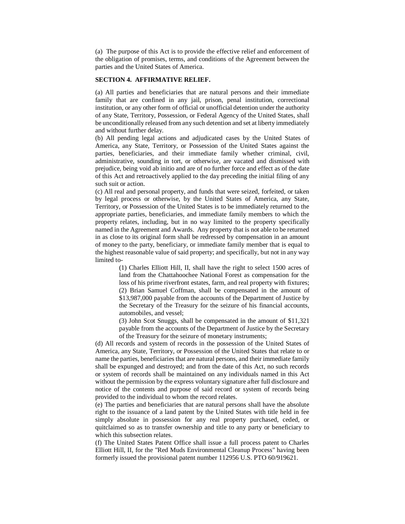(a) The purpose of this Act is to provide the effective relief and enforcement of the obligation of promises, terms, and conditions of the Agreement between the parties and the United States of America.

### **SECTION 4. AFFIRMATIVE RELIEF.**

(a) All parties and beneficiaries that are natural persons and their immediate family that are confined in any jail, prison, penal institution, correctional institution, or any other form of official or unofficial detention under the authority of any State, Territory, Possession, or Federal Agency of the United States, shall be unconditionally released from any such detention and set at liberty immediately and without further delay.

(b) All pending legal actions and adjudicated cases by the United States of America, any State, Territory, or Possession of the United States against the parties, beneficiaries, and their immediate family whether criminal, civil, administrative, sounding in tort, or otherwise, are vacated and dismissed with prejudice, being void ab initio and are of no further force and effect as of the date of this Act and retroactively applied to the day preceding the initial filing of any such suit or action.

(c) All real and personal property, and funds that were seized, forfeited, or taken by legal process or otherwise, by the United States of America, any State, Territory, or Possession of the United States is to be immediately returned to the appropriate parties, beneficiaries, and immediate family members to which the property relates, including, but in no way limited to the property specifically named in the Agreement and Awards. Any property that is not able to be returned in as close to its original form shall be redressed by compensation in an amount of money to the party, beneficiary, or immediate family member that is equal to the highest reasonable value of said property; and specifically, but not in any way limited to-

> (1) Charles Elliott Hill, II, shall have the right to select 1500 acres of land from the Chattahoochee National Forest as compensation for the loss of his prime riverfront estates, farm, and real property with fixtures; (2) Brian Samuel Coffman, shall be compensated in the amount of \$13,987,000 payable from the accounts of the Department of Justice by the Secretary of the Treasury for the seizure of his financial accounts, automobiles, and vessel;

> (3) John Scot Snuggs, shall be compensated in the amount of \$11,321 payable from the accounts of the Department of Justice by the Secretary of the Treasury for the seizure of monetary instruments;

(d) All records and system of records in the possession of the United States of America, any State, Territory, or Possession of the United States that relate to or name the parties, beneficiaries that are natural persons, and their immediate family shall be expunged and destroyed; and from the date of this Act, no such records or system of records shall be maintained on any individuals named in this Act without the permission by the express voluntary signature after full disclosure and notice of the contents and purpose of said record or system of records being provided to the individual to whom the record relates.

(e) The parties and beneficiaries that are natural persons shall have the absolute right to the issuance of a land patent by the United States with title held in fee simply absolute in possession for any real property purchased, ceded, or quitclaimed so as to transfer ownership and title to any party or beneficiary to which this subsection relates.

(f) The United States Patent Office shall issue a full process patent to Charles Elliott Hill, II, for the "Red Muds Environmental Cleanup Process" having been formerly issued the provisional patent number 112956 U.S. PTO 60/919621.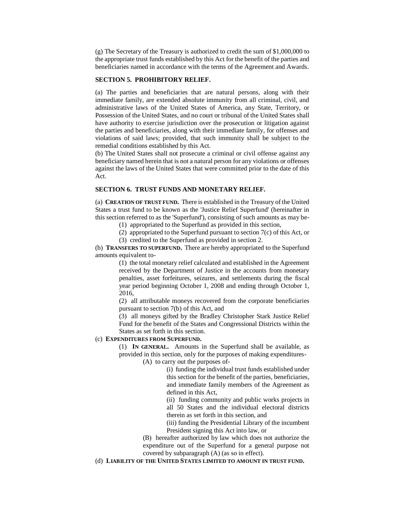(g) The Secretary of the Treasury is authorized to credit the sum of \$1,000,000 to the appropriate trust funds established by this Act for the benefit of the parties and beneficiaries named in accordance with the terms of the Agreement and Awards.

### **SECTION 5. PROHIBITORY RELIEF.**

(a) The parties and beneficiaries that are natural persons, along with their immediate family, are extended absolute immunity from all criminal, civil, and administrative laws of the United States of America, any State, Territory, or Possession of the United States, and no court or tribunal of the United States shall have authority to exercise jurisdiction over the prosecution or litigation against the parties and beneficiaries, along with their immediate family, for offenses and violations of said laws; provided, that such immunity shall be subject to the remedial conditions established by this Act.

(b) The United States shall not prosecute a criminal or civil offense against any beneficiary named herein that is not a natural person for any violations or offenses against the laws of the United States that were committed prior to the date of this Act.

### **SECTION 6. TRUST FUNDS AND MONETARY RELIEF.**

(a) **CREATION OF TRUST FUND.** There is established in the Treasury of the United States a trust fund to be known as the 'Justice Relief Superfund' (hereinafter in this section referred to as the 'Superfund'), consisting of such amounts as may be-

- (1) appropriated to the Superfund as provided in this section,
- (2) appropriated to the Superfund pursuant to section 7(c) of this Act, or
- (3) credited to the Superfund as provided in section 2.

(b) **TRANSFERS TO SUPERFUND.** There are hereby appropriated to the Superfund amounts equivalent to-

> (1) the total monetary relief calculated and established in the Agreement received by the Department of Justice in the accounts from monetary penalties, asset forfeitures, seizures, and settlements during the fiscal year period beginning October 1, 2008 and ending through October 1, 2016,

> (2) all attributable moneys recovered from the corporate beneficiaries pursuant to section 7(b) of this Act, and

> (3) all moneys gifted by the Bradley Christopher Stark Justice Relief Fund for the benefit of the States and Congressional Districts within the States as set forth in this section.

## (c) **EXPENDITURES FROM SUPERFUND.**

(1) **IN GENERAL.** Amounts in the Superfund shall be available, as provided in this section, only for the purposes of making expenditures-

(A) to carry out the purposes of-

(i) funding the individual trust funds established under this section for the benefit of the parties, beneficiaries, and immediate family members of the Agreement as defined in this Act,

(ii) funding community and public works projects in all 50 States and the individual electoral districts therein as set forth in this section, and

(iii) funding the Presidential Library of the incumbent President signing this Act into law, or

(B) hereafter authorized by law which does not authorize the expenditure out of the Superfund for a general purpose not covered by subparagraph (A) (as so in effect).

(d) **LIABILITY OF THE UNITED STATES LIMITED TO AMOUNT IN TRUST FUND.**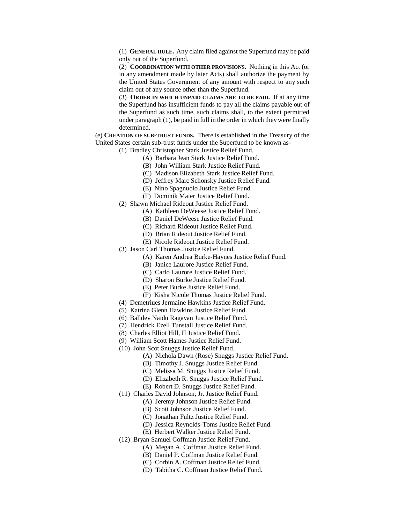(1) **GENERAL RULE.** Any claim filed against the Superfund may be paid only out of the Superfund.

(2) **COORDINATION WITH OTHER PROVISIONS.** Nothing in this Act (or in any amendment made by later Acts) shall authorize the payment by the United States Government of any amount with respect to any such claim out of any source other than the Superfund.

(3) **ORDER IN WHICH UNPAID CLAIMS ARE TO BE PAID.** If at any time the Superfund has insufficient funds to pay all the claims payable out of the Superfund as such time, such claims shall, to the extent permitted under paragraph (1), be paid in full in the order in which they were finally determined.

(e) **CREATION OF SUB-TRUST FUNDS.** There is established in the Treasury of the United States certain sub-trust funds under the Superfund to be known as-

(1) Bradley Christopher Stark Justice Relief Fund.

- (A) Barbara Jean Stark Justice Relief Fund.
- (B) John William Stark Justice Relief Fund.
- (C) Madison Elizabeth Stark Justice Relief Fund.
- (D) Jeffrey Marc Schonsky Justice Relief Fund.
- (E) Nino Spagnuolo Justice Relief Fund.
- (F) Dominik Maier Justice Relief Fund.
- (2) Shawn Michael Rideout Justice Relief Fund.
	- (A) Kathleen DeWeese Justice Relief Fund.
	- (B) Daniel DeWeese Justice Relief Fund.
	- (C) Richard Rideout Justice Relief Fund.
	- (D) Brian Rideout Justice Relief Fund.
	- (E) Nicole Rideout Justice Relief Fund.
- (3) Jason Carl Thomas Justice Relief Fund.
	- (A) Karen Andrea Burke-Haynes Justice Relief Fund.
	- (B) Janice Laurore Justice Relief Fund.
	- (C) Carlo Laurore Justice Relief Fund.
	- (D) Sharon Burke Justice Relief Fund.
	- (E) Peter Burke Justice Relief Fund.
	- (F) Kisha Nicole Thomas Justice Relief Fund.
- (4) Demetriues Jermaine Hawkins Justice Relief Fund.
- (5) Katrina Glenn Hawkins Justice Relief Fund.
- (6) Balldev Naidu Ragavan Justice Relief Fund.
- (7) Hendrick Ezell Tunstall Justice Relief Fund.
- (8) Charles Elliot Hill, II Justice Relief Fund.
- (9) William Scott Hames Justice Relief Fund.
- (10) John Scot Snuggs Justice Relief Fund.
	- (A) Nichola Dawn (Rose) Snuggs Justice Relief Fund.
	- (B) Timothy J. Snuggs Justice Relief Fund.
	- (C) Melissa M. Snuggs Justice Relief Fund.
	- (D) Elizabeth R. Snuggs Justice Relief Fund.
	- (E) Robert D. Snuggs Justice Relief Fund.
- (11) Charles David Johnson, Jr. Justice Relief Fund.
	- (A) Jeremy Johnson Justice Relief Fund.
		- (B) Scott Johnson Justice Relief Fund.
		- (C) Jonathan Fultz Justice Relief Fund.
	- (D) Jessica Reynolds-Toms Justice Relief Fund.
	- (E) Herbert Walker Justice Relief Fund.
- (12) Bryan Samuel Coffman Justice Relief Fund.
	- (A) Megan A. Coffman Justice Relief Fund.
	- (B) Daniel P. Coffman Justice Relief Fund.
	- (C) Corbin A. Coffman Justice Relief Fund.
	- (D) Tabitha C. Coffman Justice Relief Fund.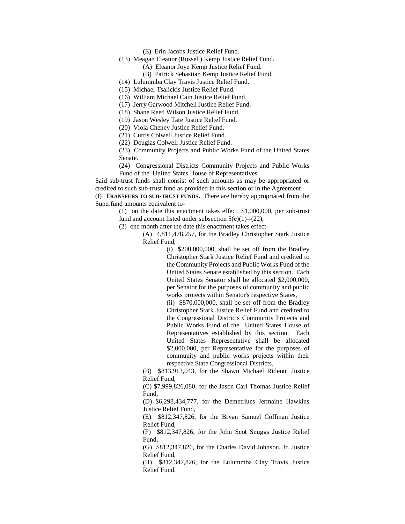(E) Erin Jacobs Justice Relief Fund.

- (13) Meagan Eleanor (Russell) Kemp Justice Relief Fund.
	- (A) Eleanor Joye Kemp Justice Relief Fund.
	- (B) Patrick Sebastian Kemp Justice Relief Fund.
- (14) Lulummba Clay Travis Justice Relief Fund.
- (15) Michael Tsalickis Justice Relief Fund.
- (16) William Michael Cain Justice Relief Fund.
- (17) Jerry Garwood Mitchell Justice Relief Fund.
- (18) Shane Reed Wilson Justice Relief Fund.
- (19) Jason Wesley Tate Justice Relief Fund.
- (20) Viola Cheney Justice Relief Fund.
- (21) Curtis Colwell Justice Relief Fund.
- (22) Douglas Colwell Justice Relief Fund.

(23) Community Projects and Public Works Fund of the United States Senate.

(24) Congressional Districts Community Projects and Public Works Fund of the United States House of Representatives.

Said sub-trust funds shall consist of such amounts as may be appropriated or credited to such sub-trust fund as provided in this section or in the Agreement.

(f) **TRANSFERS TO SUB-TRUST FUNDS.** There are hereby appropriated from the Superfund amounts equivalent to-

> (1) on the date this enactment takes effect, \$1,000,000, per sub-trust fund and account listed under subsection  $5(e)(1)$ --(22),

(2) one month after the date this enactment takes effect-

(A) 4,811,478,257, for the Bradley Christopher Stark Justice Relief Fund,

> (i) \$200,000,000, shall be set off from the Bradley Christopher Stark Justice Relief Fund and credited to the Community Projects and Public Works Fund of the United States Senate established by this section. Each United States Senator shall be allocated \$2,000,000, per Senator for the purposes of community and public works projects within Senator's respective States,

> (ii) \$870,000,000, shall be set off from the Bradley Christopher Stark Justice Relief Fund and credited to the Congressional Districts Community Projects and Public Works Fund of the United States House of Representatives established by this section. Each United States Representative shall be allocated \$2,000,000, per Representative for the purposes of community and public works projects within their respective State Congressional Districts,

(B) \$813,913,043, for the Shawn Michael Rideout Justice Relief Fund,

(C) \$7,999,826,080, for the Jason Carl Thomas Justice Relief Fund,

(D) \$6,298,434,777, for the Demetriues Jermaine Hawkins Justice Relief Fund,

(E) \$812,347,826, for the Bryan Samuel Coffman Justice Relief Fund,

(F) \$812,347,826, for the John Scot Snuggs Justice Relief Fund,

(G) \$812,347,826, for the Charles David Johnson, Jr. Justice Relief Fund,

(H) \$812,347,826, for the Lulummba Clay Travis Justice Relief Fund,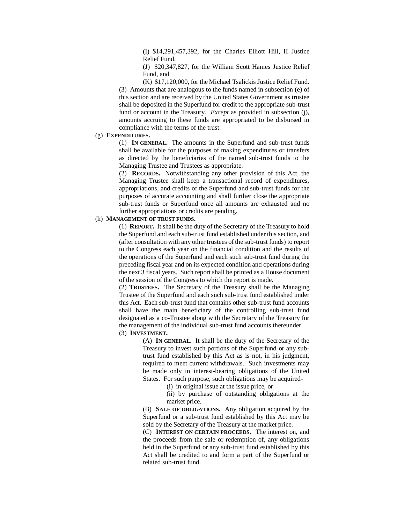(I) \$14,291,457,392, for the Charles Elliott Hill, II Justice Relief Fund,

(J) \$20,347,827, for the William Scott Hames Justice Relief Fund, and

(K) \$17,120,000, for the Michael Tsalickis Justice Relief Fund. (3) Amounts that are analogous to the funds named in subsection (e) of this section and are received by the United States Government as trustee shall be deposited in the Superfund for credit to the appropriate sub-trust fund or account in the Treasury. *Except* as provided in subsection (j), amounts accruing to these funds are appropriated to be disbursed in compliance with the terms of the trust.

## (g) **EXPENDITURES.**

(1) **IN GENERAL.** The amounts in the Superfund and sub-trust funds shall be available for the purposes of making expenditures or transfers as directed by the beneficiaries of the named sub-trust funds to the Managing Trustee and Trustees as appropriate.

(2) **RECORDS.** Notwithstanding any other provision of this Act, the Managing Trustee shall keep a transactional record of expenditures, appropriations, and credits of the Superfund and sub-trust funds for the purposes of accurate accounting and shall further close the appropriate sub-trust funds or Superfund once all amounts are exhausted and no further appropriations or credits are pending.

### (h) **MANAGEMENT OF TRUST FUNDS.**

(1) **REPORT.** It shall be the duty of the Secretary of the Treasury to hold the Superfund and each sub-trust fund established under this section, and (after consultation with any other trustees of the sub-trust funds) to report to the Congress each year on the financial condition and the results of the operations of the Superfund and each such sub-trust fund during the preceding fiscal year and on its expected condition and operations during the next 3 fiscal years. Such report shall be printed as a House document of the session of the Congress to which the report is made.

(2) **TRUSTEES.** The Secretary of the Treasury shall be the Managing Trustee of the Superfund and each such sub-trust fund established under this Act. Each sub-trust fund that contains other sub-trust fund accounts shall have the main beneficiary of the controlling sub-trust fund designated as a co-Trustee along with the Secretary of the Treasury for the management of the individual sub-trust fund accounts thereunder.

### (3) **INVESTMENT.**

(A) **IN GENERAL.** It shall be the duty of the Secretary of the Treasury to invest such portions of the Superfund or any subtrust fund established by this Act as is not, in his judgment, required to meet current withdrawals. Such investments may be made only in interest-bearing obligations of the United States. For such purpose, such obligations may be acquired-

(i) in original issue at the issue price, or

(ii) by purchase of outstanding obligations at the market price.

(B) **SALE OF OBLIGATIONS.** Any obligation acquired by the Superfund or a sub-trust fund established by this Act may be sold by the Secretary of the Treasury at the market price.

(C) **INTEREST ON CERTAIN PROCEEDS.** The interest on, and the proceeds from the sale or redemption of, any obligations held in the Superfund or any sub-trust fund established by this Act shall be credited to and form a part of the Superfund or related sub-trust fund.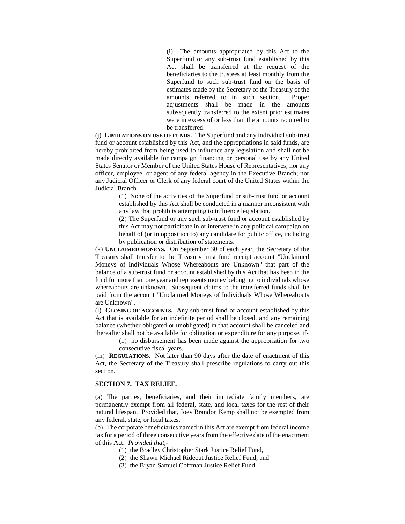(i) The amounts appropriated by this Act to the Superfund or any sub-trust fund established by this Act shall be transferred at the request of the beneficiaries to the trustees at least monthly from the Superfund to such sub-trust fund on the basis of estimates made by the Secretary of the Treasury of the amounts referred to in such section. Proper adjustments shall be made in the amounts subsequently transferred to the extent prior estimates were in excess of or less than the amounts required to be transferred.

(j) **LIMITATIONS ON USE OF FUNDS.** The Superfund and any individual sub-trust fund or account established by this Act, and the appropriations in said funds, are hereby prohibited from being used to influence any legislation and shall not be made directly available for campaign financing or personal use by any United States Senator or Member of the United States House of Representatives; nor any officer, employee, or agent of any federal agency in the Executive Branch; nor any Judicial Officer or Clerk of any federal court of the United States within the Judicial Branch.

> (1) None of the activities of the Superfund or sub-trust fund or account established by this Act shall be conducted in a manner inconsistent with any law that prohibits attempting to influence legislation.

> (2) The Superfund or any such sub-trust fund or account established by this Act may not participate in or intervene in any political campaign on behalf of (or in opposition to) any candidate for public office, including by publication or distribution of statements.

(k) **UNCLAIMED MONEYS.** On September 30 of each year, the Secretary of the Treasury shall transfer to the Treasury trust fund receipt account "Unclaimed Moneys of Individuals Whose Whereabouts are Unknown" that part of the balance of a sub-trust fund or account established by this Act that has been in the fund for more than one year and represents money belonging to individuals whose whereabouts are unknown. Subsequent claims to the transferred funds shall be paid from the account "Unclaimed Moneys of Individuals Whose Whereabouts are Unknown".

(l) **CLOSING OF ACCOUNTS.** Any sub-trust fund or account established by this Act that is available for an indefinite period shall be closed, and any remaining balance (whether obligated or unobligated) in that account shall be canceled and thereafter shall not be available for obligation or expenditure for any purpose, if-

> (1) no disbursement has been made against the appropriation for two consecutive fiscal years.

(m) **REGULATIONS.** Not later than 90 days after the date of enactment of this Act, the Secretary of the Treasury shall prescribe regulations to carry out this section.

### **SECTION 7. TAX RELIEF.**

(a) The parties, beneficiaries, and their immediate family members, are permanently exempt from all federal, state, and local taxes for the rest of their natural lifespan. Provided that, Joey Brandon Kemp shall not be exempted from any federal, state, or local taxes.

(b) The corporate beneficiaries named in this Act are exempt from federal income tax for a period of three consecutive years from the effective date of the enactment of this Act. *Provided that,-*

- (1) the Bradley Christopher Stark Justice Relief Fund,
- (2) the Shawn Michael Rideout Justice Relief Fund, and
- (3) the Bryan Samuel Coffman Justice Relief Fund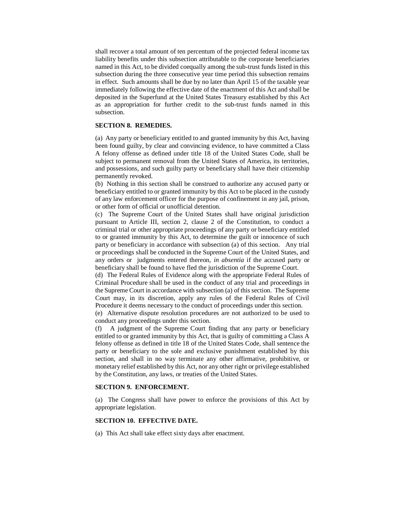shall recover a total amount of ten percentum of the projected federal income tax liability benefits under this subsection attributable to the corporate beneficiaries named in this Act, to be divided coequally among the sub-trust funds listed in this subsection during the three consecutive year time period this subsection remains in effect. Such amounts shall be due by no later than April 15 of the taxable year immediately following the effective date of the enactment of this Act and shall be deposited in the Superfund at the United States Treasury established by this Act as an appropriation for further credit to the sub-trust funds named in this subsection.

### **SECTION 8. REMEDIES.**

(a) Any party or beneficiary entitled to and granted immunity by this Act, having been found guilty, by clear and convincing evidence, to have committed a Class A felony offense as defined under title 18 of the United States Code, shall be subject to permanent removal from the United States of America, its territories, and possessions, and such guilty party or beneficiary shall have their citizenship permanently revoked.

(b) Nothing in this section shall be construed to authorize any accused party or beneficiary entitled to or granted immunity by this Act to be placed in the custody of any law enforcement officer for the purpose of confinement in any jail, prison, or other form of official or unofficial detention.

(c) The Supreme Court of the United States shall have original jurisdiction pursuant to Article III, section 2, clause 2 of the Constitution, to conduct a criminal trial or other appropriate proceedings of any party or beneficiary entitled to or granted immunity by this Act, to determine the guilt or innocence of such party or beneficiary in accordance with subsection (a) of this section. Any trial or proceedings shall be conducted in the Supreme Court of the United States, and any orders or judgments entered thereon, *in absentia* if the accused party or beneficiary shall be found to have fled the jurisdiction of the Supreme Court.

(d) The Federal Rules of Evidence along with the appropriate Federal Rules of Criminal Procedure shall be used in the conduct of any trial and proceedings in the Supreme Court in accordance with subsection (a) of this section. The Supreme Court may, in its discretion, apply any rules of the Federal Rules of Civil Procedure it deems necessary to the conduct of proceedings under this section.

(e) Alternative dispute resolution procedures are not authorized to be used to conduct any proceedings under this section.

(f) A judgment of the Supreme Court finding that any party or beneficiary entitled to or granted immunity by this Act, that is guilty of committing a Class A felony offense as defined in title 18 of the United States Code, shall sentence the party or beneficiary to the sole and exclusive punishment established by this section, and shall in no way terminate any other affirmative, prohibitive, or monetary relief established by this Act, nor any other right or privilege established by the Constitution, any laws, or treaties of the United States.

### **SECTION 9. ENFORCEMENT.**

(a) The Congress shall have power to enforce the provisions of this Act by appropriate legislation.

### **SECTION 10. EFFECTIVE DATE.**

(a) This Act shall take effect sixty days after enactment.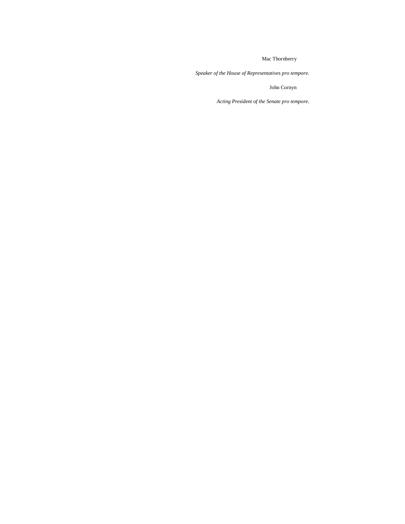Mac Thornberry

*Speaker of the House of Representatives pro tempore.*

John Cornyn

*Acting President of the Senate pro tempore.*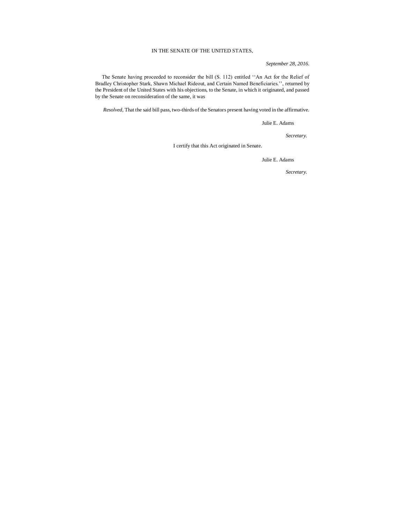### IN THE SENATE OF THE UNITED STATES,

*September 28, 2016.*

 The Senate having proceeded to reconsider the bill (S. 112) entitled ''An Act for the Relief of Bradley Christopher Stark, Shawn Michael Rideout, and Certain Named Beneficiaries.'', returned by the President of the United States with his objections, to the Senate, in which it originated, and passed by the Senate on reconsideration of the same, it was

*Resolved,* That the said bill pass, two-thirds of the Senators present having voted in the affirmative.

Julie E. Adams

*Secretary.*

I certify that this Act originated in Senate.

Julie E. Adams

*Secretary.*